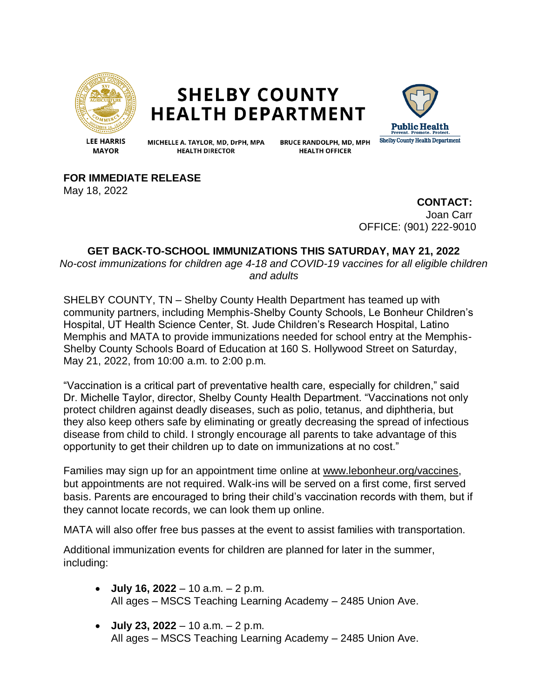

## **SHELBY COUNTY HEALTH DEPARTMENT**



**LEE HARRIS MAYOR** 

MICHELLE A. TAYLOR, MD, DrPH, MPA **HEALTH DIRECTOR** 

**BRUCE RANDOLPH, MD, MPH HEALTH OFFICER** 

**FOR IMMEDIATE RELEASE**

May 18, 2022

**CONTACT:** Joan Carr OFFICE: (901) 222-9010

## **GET BACK-TO-SCHOOL IMMUNIZATIONS THIS SATURDAY, MAY 21, 2022**

*No-cost immunizations for children age 4-18 and COVID-19 vaccines for all eligible children and adults*

SHELBY COUNTY, TN – Shelby County Health Department has teamed up with community partners, including Memphis-Shelby County Schools, Le Bonheur Children's Hospital, UT Health Science Center, St. Jude Children's Research Hospital, Latino Memphis and MATA to provide immunizations needed for school entry at the Memphis-Shelby County Schools Board of Education at 160 S. Hollywood Street on Saturday, May 21, 2022, from 10:00 a.m. to 2:00 p.m.

"Vaccination is a critical part of preventative health care, especially for children," said Dr. Michelle Taylor, director, Shelby County Health Department. "Vaccinations not only protect children against deadly diseases, such as polio, tetanus, and diphtheria, but they also keep others safe by eliminating or greatly decreasing the spread of infectious disease from child to child. I strongly encourage all parents to take advantage of this opportunity to get their children up to date on immunizations at no cost."

Families may sign up for an appointment time online at [www.lebonheur.org/vaccines,](http://www.lebonheur.org/vaccines) but appointments are not required. Walk-ins will be served on a first come, first served basis. Parents are encouraged to bring their child's vaccination records with them, but if they cannot locate records, we can look them up online.

MATA will also offer free bus passes at the event to assist families with transportation.

Additional immunization events for children are planned for later in the summer, including:

- **July 16, 2022** 10 a.m. 2 p.m. All ages – MSCS Teaching Learning Academy – 2485 Union Ave.
- **July 23, 2022** 10 a.m. 2 p.m. All ages – MSCS Teaching Learning Academy – 2485 Union Ave.